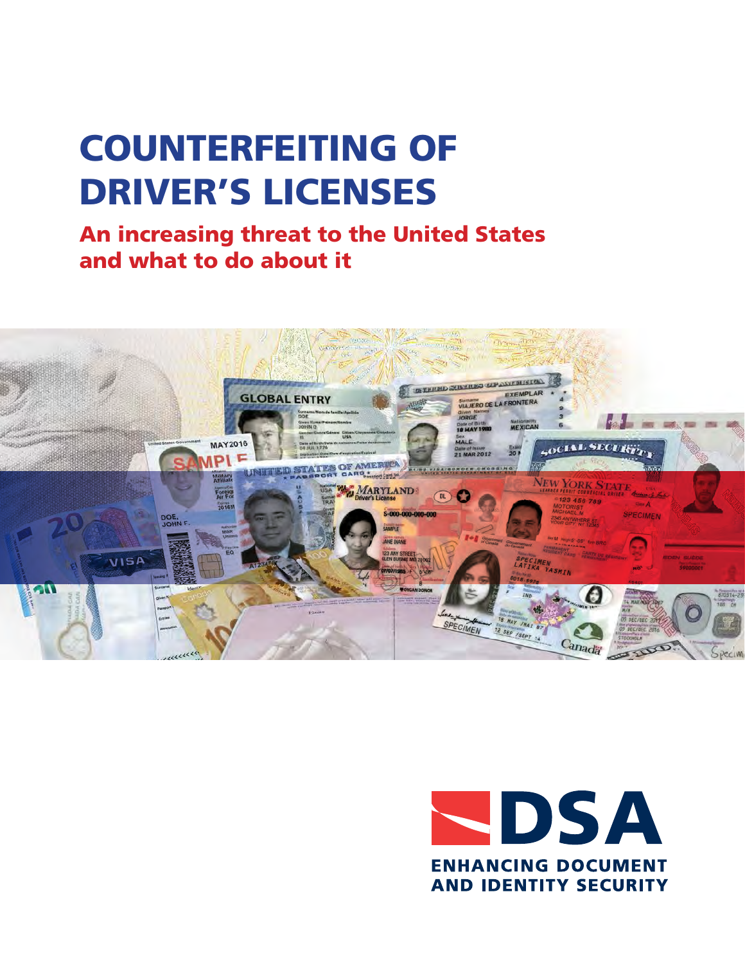# COUNTERFEITING OF DRIVER'S LICENSES

An increasing threat to the United States and what to do about it



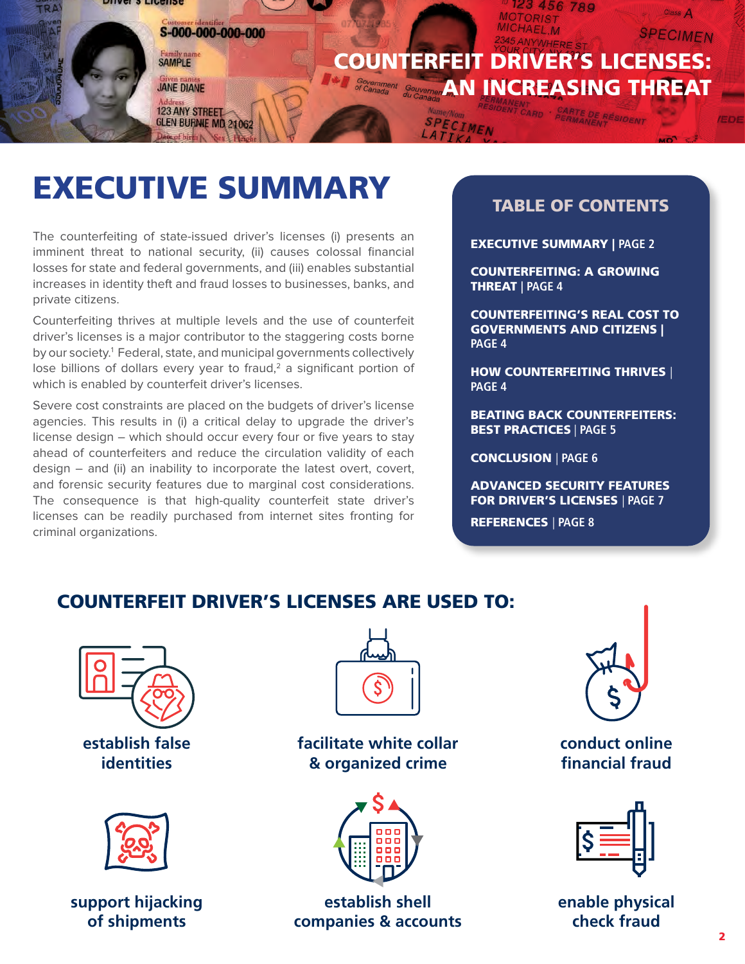<span id="page-1-0"></span>

## EXECUTIVE SUMMARY

The counterfeiting of state-issued driver's licenses (i) presents an imminent threat to national security, (ii) causes colossal financial losses for state and federal governments, and (iii) enables substantial increases in identity theft and fraud losses to businesses, banks, and private citizens.

Counterfeiting thrives at multiple levels and the use of counterfeit driver's licenses is a major contributor to the staggering costs borne by our society.<sup>1</sup> Federal, state, and municipal governments collectively lose billions of dollars every year to fraud,<sup>2</sup> a significant portion of which is enabled by counterfeit driver's licenses.

Severe cost constraints are placed on the budgets of driver's license agencies. This results in (i) a critical delay to upgrade the driver's license design – which should occur every four or five years to stay ahead of counterfeiters and reduce the circulation validity of each design – and (ii) an inability to incorporate the latest overt, covert, and forensic security features due to marginal cost considerations. The consequence is that high-quality counterfeit state driver's licenses can be readily purchased from internet sites fronting for criminal organizations.

## TABLE OF CONTENTS

[EXECUTIVE SUMMARY |](#page-2-0) PAGE 2

[COUNTERFEITING: A GROWING](#page-3-0)  [THREAT](#page-3-0) | PAGE 4

[COUNTERFEITING'S REAL COST TO](#page-3-0)  [GOVERNMENTS AND CITIZENS |](#page-3-0)  [PAGE 4](#page-3-0)

[HOW COUNTERFEITING THRIVES](#page-4-0) | [PAGE 4](#page-4-0)

[BEATING BACK COUNTERFEITERS:](#page-4-0)  [BEST PRACTICES](#page-4-0) | PAGE 5

[CONCLUSION](#page-6-0) | PAGE 6

ADVANCED SECURITY FEATURES FOR DRIVER'S LICENSES | PAGE 7

[REFERENCES](#page-7-0) | PAGE 8

## COUNTERFEIT DRIVER'S LICENSES ARE USED TO:





**support hijacking of shipments**



**facilitate white collar & organized crime**



**establish shell companies & accounts**



## **conduct online financial fraud**



**enable physical check fraud**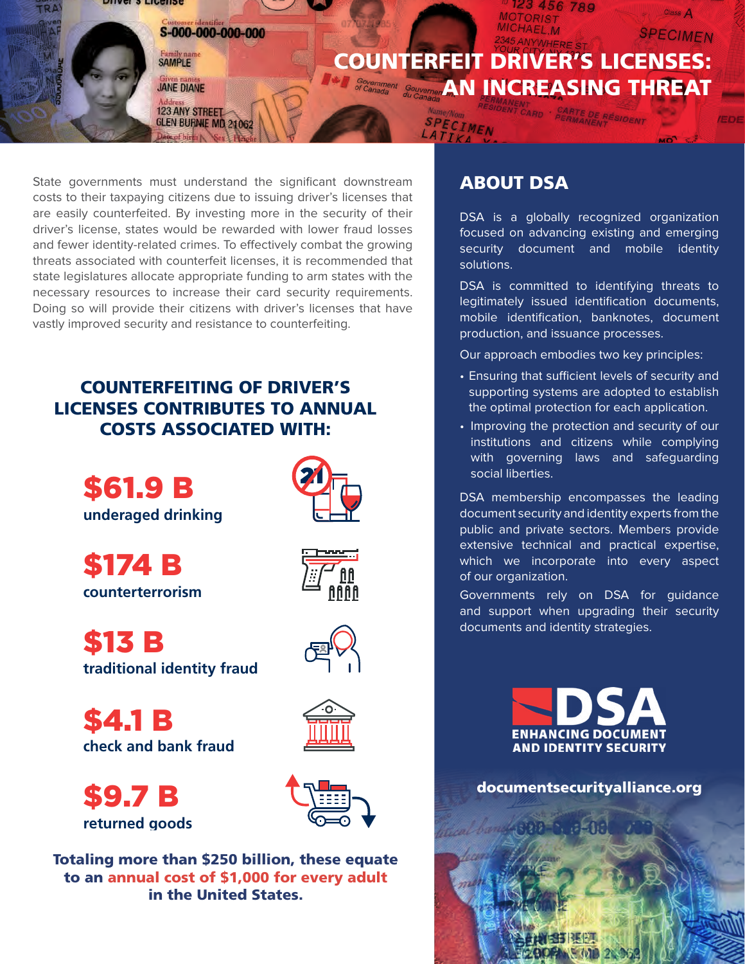<span id="page-2-0"></span>

State governments must understand the significant downstream costs to their taxpaying citizens due to issuing driver's licenses that are easily counterfeited. By investing more in the security of their driver's license, states would be rewarded with lower fraud losses and fewer identity-related crimes. To effectively combat the growing threats associated with counterfeit licenses, it is recommended that state legislatures allocate appropriate funding to arm states with the necessary resources to increase their card security requirements. Doing so will provide their citizens with driver's licenses that have vastly improved security and resistance to counterfeiting.

## COUNTERFEITING OF DRIVER'S LICENSES CONTRIBUTES TO ANNUAL COSTS ASSOCIATED WITH:



\$174 B **counterterrorism**

\$13 B **traditional identity fraud**

\$4.1 B **check and bank fraud**







to an annual cost of \$1,000 for every adult in the United States.

## ABOUT DSA

DSA is a globally recognized organization focused on advancing existing and emerging security document and mobile identity solutions.

DSA is committed to identifying threats to legitimately issued identification documents, mobile identification, banknotes, document production, and issuance processes.

Our approach embodies two key principles:

- Ensuring that sufficient levels of security and supporting systems are adopted to establish the optimal protection for each application.
- Improving the protection and security of our institutions and citizens while complying with governing laws and safeguarding social liberties.

DSA membership encompasses the leading document security and identity experts from the public and private sectors. Members provide extensive technical and practical expertise, which we incorporate into every aspect of our organization.

Governments rely on DSA for guidance and support when upgrading their security documents and identity strategies.



[documentsecurityalliance.org](https://www.documentsecurityalliance.org/index.html)

 $012.52$ 

3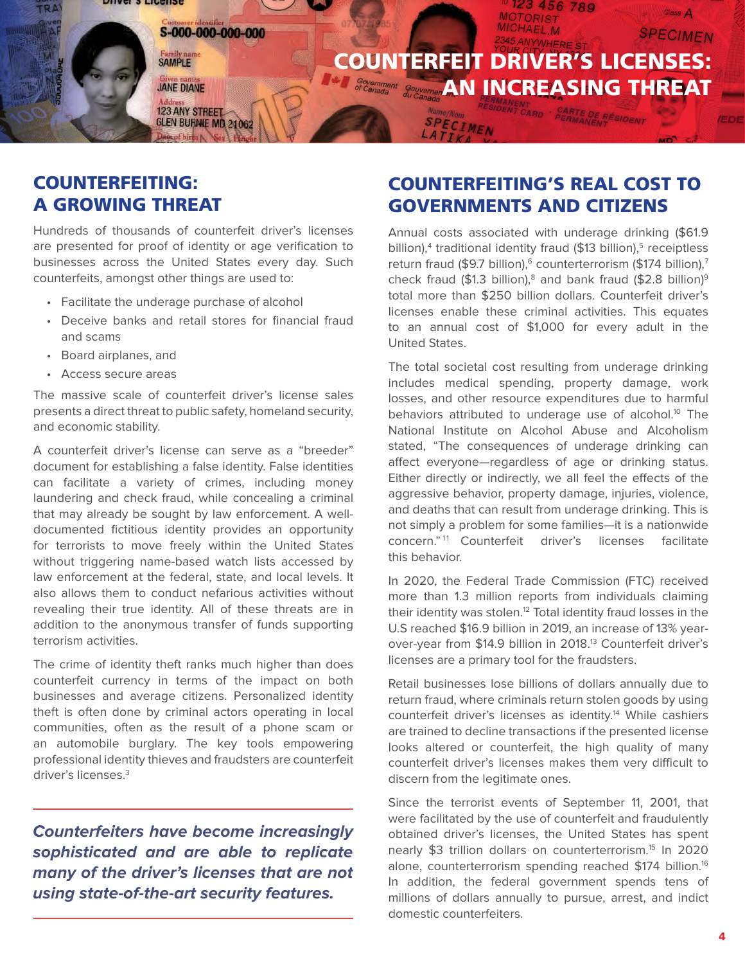<span id="page-3-0"></span>

## COUNTERFEITING: A GROWING THREAT

Hundreds of thousands of counterfeit driver's licenses are presented for proof of identity or age verification to businesses across the United States every day. Such counterfeits, amongst other things are used to:

- Facilitate the underage purchase of alcohol
- Deceive banks and retail stores for financial fraud and scams
- Board airplanes, and
- Access secure areas

The massive scale of counterfeit driver's license sales presents a direct threat to public safety, homeland security, and economic stability.

A counterfeit driver's license can serve as a "breeder" document for establishing a false identity. False identities can facilitate a variety of crimes, including money laundering and check fraud, while concealing a criminal that may already be sought by law enforcement. A welldocumented fictitious identity provides an opportunity for terrorists to move freely within the United States without triggering name-based watch lists accessed by law enforcement at the federal, state, and local levels. It also allows them to conduct nefarious activities without revealing their true identity. All of these threats are in addition to the anonymous transfer of funds supporting terrorism activities.

The crime of identity theft ranks much higher than does counterfeit currency in terms of the impact on both businesses and average citizens. Personalized identity theft is often done by criminal actors operating in local communities, often as the result of a phone scam or an automobile burglary. The key tools empowering professional identity thieves and fraudsters are counterfeit driver's licenses[.3](#page-7-0)

**Counterfeiters have become increasingly sophisticated and are able to replicate many of the driver's licenses that are not using state-of-the-art security features.**

## COUNTERFEITING'S REAL COST TO GOVERNMENTS AND CITIZENS

Annual costs associated with underage drinking (\$61.9 billion),<sup>[4](#page-7-0)</sup> traditional identity fraud (\$13 billion),<sup>5</sup> receiptless return fraud (\$9.7 billion),<sup>6</sup> counterterrorism (\$174 billion),<sup>7</sup> check fraud (\$1.3 billion),<sup>8</sup> and bank fraud (\$2.8 billion)<sup>[9](#page-7-0)</sup> total more than \$250 billion dollars. Counterfeit driver's licenses enable these criminal activities. This equates to an annual cost of \$1,000 for every adult in the United States.

The total societal cost resulting from underage drinking includes medical spending, property damage, work losses, and other resource expenditures due to harmful behaviors attributed to underage use of alcohol.<sup>10</sup> The National Institute on Alcohol Abuse and Alcoholism stated, "The consequences of underage drinking can affect everyone—regardless of age or drinking status. Either directly or indirectly, we all feel the effects of the aggressive behavior, property damage, injuries, violence, and deaths that can result from underage drinking. This is not simply a problem for some families—it is a nationwide concern."<sup>11</sup> Counterfeit driver's licenses facilitate this behavior.

In 2020, the Federal Trade Commission (FTC) received more than 1.3 million reports from individuals claiming their identity was stolen.<sup>12</sup> Total identity fraud losses in the U.S reached \$16.9 billion in 2019, an increase of 13% yearover-year from \$14.9 billion in 2018.<sup>13</sup> Counterfeit driver's licenses are a primary tool for the fraudsters.

Retail businesses lose billions of dollars annually due to return fraud, where criminals return stolen goods by using counterfeit driver's licenses as identity.<sup>[14](#page-7-0)</sup> While cashiers are trained to decline transactions if the presented license looks altered or counterfeit, the high quality of many counterfeit driver's licenses makes them very difficult to discern from the legitimate ones.

Since the terrorist events of September 11, 2001, that were facilitated by the use of counterfeit and fraudulently obtained driver's licenses, the United States has spent nearly \$3 trillion dollars on counterterrorism[.15](#page-7-0) In 2020 alone, counterterrorism spending reached \$174 billion.<sup>[16](#page-7-0)</sup> In addition, the federal government spends tens of millions of dollars annually to pursue, arrest, and indict domestic counterfeiters.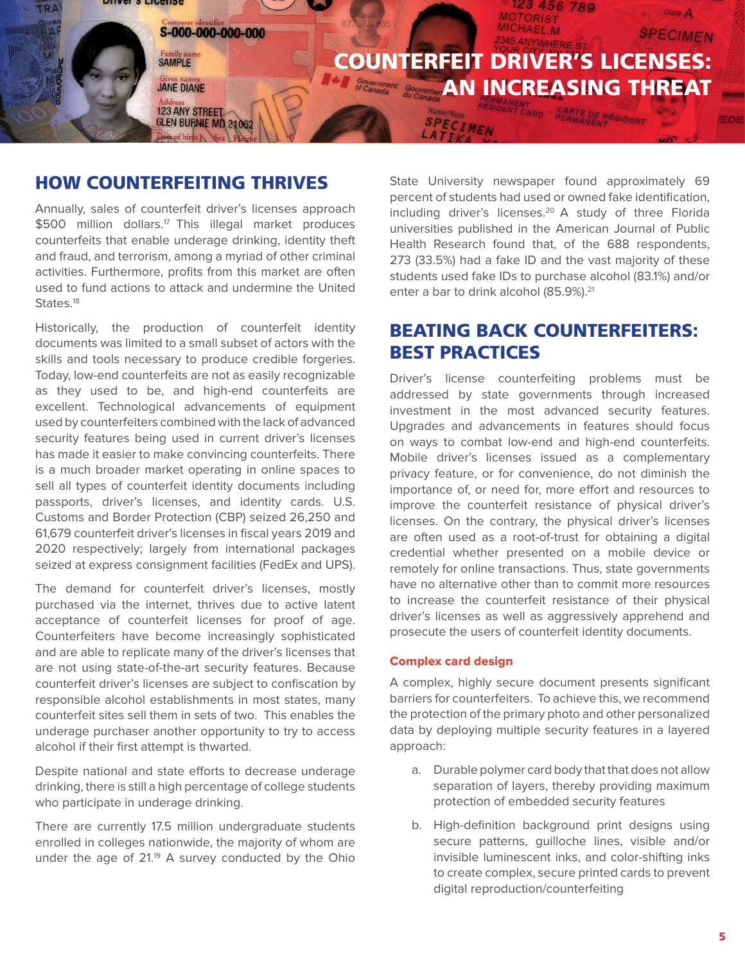<span id="page-4-0"></span>

## HOW COUNTERFEITING THRIVES

Annually, sales of counterfeit driver's licenses approach \$500 million dollars.<sup>17</sup> This illegal market produces counterfeits that enable underage drinking, identity theft and fraud, and terrorism, among a myriad of other criminal activities. Furthermore, profits from this market are often used to fund actions to attack and undermine the United States.<sup>[18](#page-7-0)</sup>

Historically, the production of counterfeit identity documents was limited to a small subset of actors with the skills and tools necessary to produce credible forgeries. Today, low-end counterfeits are not as easily recognizable as they used to be, and high-end counterfeits are excellent. Technological advancements of equipment used by counterfeiters combined with the lack of advanced security features being used in current driver's licenses has made it easier to make convincing counterfeits. There is a much broader market operating in online spaces to sell all types of counterfeit identity documents including passports, driver's licenses, and identity cards. U.S. Customs and Border Protection (CBP) seized 26,250 and 61,679 counterfeit driver's licenses in fiscal years 2019 and 2020 respectively; largely from international packages seized at express consignment facilities (FedEx and UPS).

The demand for counterfeit driver's licenses, mostly purchased via the internet, thrives due to active latent acceptance of counterfeit licenses for proof of age. Counterfeiters have become increasingly sophisticated and are able to replicate many of the driver's licenses that are not using state-of-the-art security features. Because counterfeit driver's licenses are subject to confiscation by responsible alcohol establishments in most states, many counterfeit sites sell them in sets of two. This enables the underage purchaser another opportunity to try to access alcohol if their first attempt is thwarted.

Despite national and state efforts to decrease underage drinking, there is still a high percentage of college students who participate in underage drinking.

There are currently 17.5 million undergraduate students enrolled in colleges nationwide, the majority of whom are under the age of 21.<sup>19</sup> A survey conducted by the Ohio State University newspaper found approximately 69 percent of students had used or owned fake identification, including driver's licenses.<sup>20</sup> A study of three Florida universities published in the American Journal of Public Health Research found that, of the 688 respondents, 273 (33.5%) had a fake ID and the vast majority of these students used fake IDs to purchase alcohol (83.1%) and/or enter a bar to drink alcohol (85.9%).<sup>21</sup>

## BEATING BACK COUNTERFEITERS: BEST PRACTICES

Driver's license counterfeiting problems must be addressed by state governments through increased investment in the most advanced security features. Upgrades and advancements in features should focus on ways to combat low-end and high-end counterfeits. Mobile driver's licenses issued as a complementary privacy feature, or for convenience, do not diminish the importance of, or need for, more effort and resources to improve the counterfeit resistance of physical driver's licenses. On the contrary, the physical driver's licenses are often used as a root-of-trust for obtaining a digital credential whether presented on a mobile device or remotely for online transactions. Thus, state governments have no alternative other than to commit more resources to increase the counterfeit resistance of their physical driver's licenses as well as aggressively apprehend and prosecute the users of counterfeit identity documents.

#### Complex card design

A complex, highly secure document presents significant barriers for counterfeiters. To achieve this, we recommend the protection of the primary photo and other personalized data by deploying multiple security features in a layered approach:

- a. Durable polymer card body that that does not allow separation of layers, thereby providing maximum protection of embedded security features
- b. High-definition background print designs using secure patterns, guilloche lines, visible and/or invisible luminescent inks, and color-shifting inks to create complex, secure printed cards to prevent digital reproduction/counterfeiting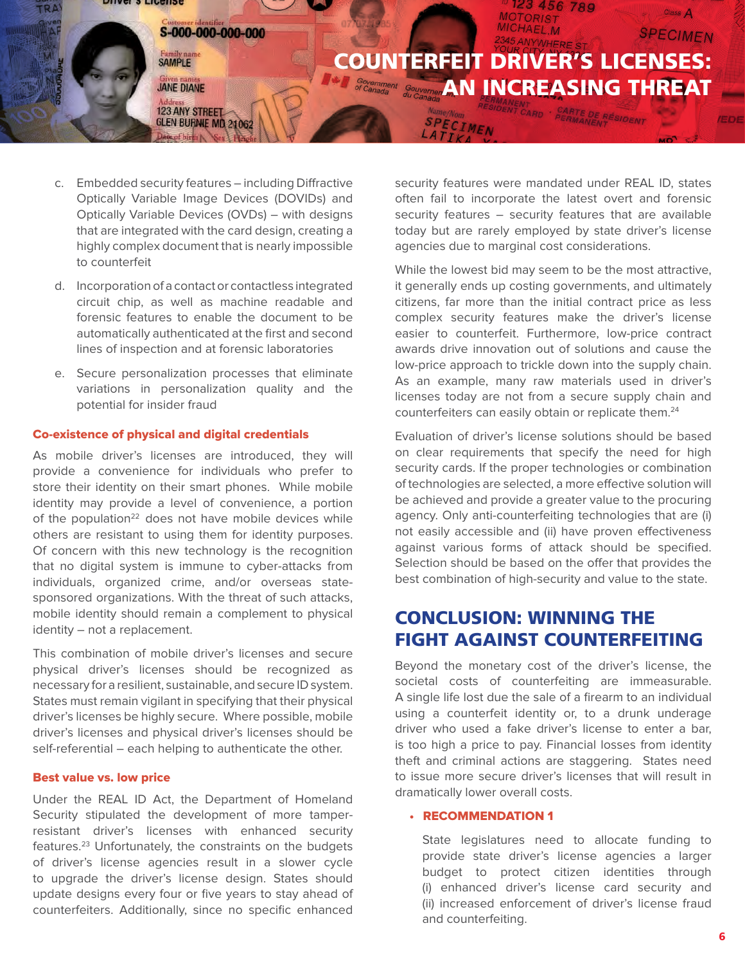<span id="page-5-0"></span>

- c. Embedded security features including Diffractive Optically Variable Image Devices (DOVIDs) and Optically Variable Devices (OVDs) – with designs that are integrated with the card design, creating a highly complex document that is nearly impossible to counterfeit
- d. Incorporation of a contact or contactless integrated circuit chip, as well as machine readable and forensic features to enable the document to be automatically authenticated at the first and second lines of inspection and at forensic laboratories
- e. Secure personalization processes that eliminate variations in personalization quality and the potential for insider fraud

#### Co-existence of physical and digital credentials

As mobile driver's licenses are introduced, they will provide a convenience for individuals who prefer to store their identity on their smart phones. While mobile identity may provide a level of convenience, a portion of the population<sup>22</sup> does not have mobile devices while others are resistant to using them for identity purposes. Of concern with this new technology is the recognition that no digital system is immune to cyber-attacks from individuals, organized crime, and/or overseas statesponsored organizations. With the threat of such attacks, mobile identity should remain a complement to physical identity – not a replacement.

This combination of mobile driver's licenses and secure physical driver's licenses should be recognized as necessary for a resilient, sustainable, and secure ID system. States must remain vigilant in specifying that their physical driver's licenses be highly secure. Where possible, mobile driver's licenses and physical driver's licenses should be self-referential – each helping to authenticate the other.

#### Best value vs. low price

Under the REAL ID Act, the Department of Homeland Security stipulated the development of more tamperresistant driver's licenses with enhanced security features.[23](#page-7-0) Unfortunately, the constraints on the budgets of driver's license agencies result in a slower cycle to upgrade the driver's license design. States should update designs every four or five years to stay ahead of counterfeiters. Additionally, since no specific enhanced

security features were mandated under REAL ID, states often fail to incorporate the latest overt and forensic security features – security features that are available today but are rarely employed by state driver's license agencies due to marginal cost considerations.

While the lowest bid may seem to be the most attractive, it generally ends up costing governments, and ultimately citizens, far more than the initial contract price as less complex security features make the driver's license easier to counterfeit. Furthermore, low-price contract awards drive innovation out of solutions and cause the low-price approach to trickle down into the supply chain. As an example, many raw materials used in driver's licenses today are not from a secure supply chain and counterfeiters can easily obtain or replicate them[.24](#page-7-0)

Evaluation of driver's license solutions should be based on clear requirements that specify the need for high security cards. If the proper technologies or combination of technologies are selected, a more effective solution will be achieved and provide a greater value to the procuring agency. Only anti-counterfeiting technologies that are (i) not easily accessible and (ii) have proven effectiveness against various forms of attack should be specified. Selection should be based on the offer that provides the best combination of high-security and value to the state.

## CONCLUSION: WINNING THE FIGHT AGAINST COUNTERFEITING

Beyond the monetary cost of the driver's license, the societal costs of counterfeiting are immeasurable. A single life lost due the sale of a firearm to an individual using a counterfeit identity or, to a drunk underage driver who used a fake driver's license to enter a bar, is too high a price to pay. Financial losses from identity theft and criminal actions are staggering. States need to issue more secure driver's licenses that will result in dramatically lower overall costs.

#### • RECOMMENDATION 1

State legislatures need to allocate funding to provide state driver's license agencies a larger budget to protect citizen identities through (i) enhanced driver's license card security and (ii) increased enforcement of driver's license fraud and counterfeiting.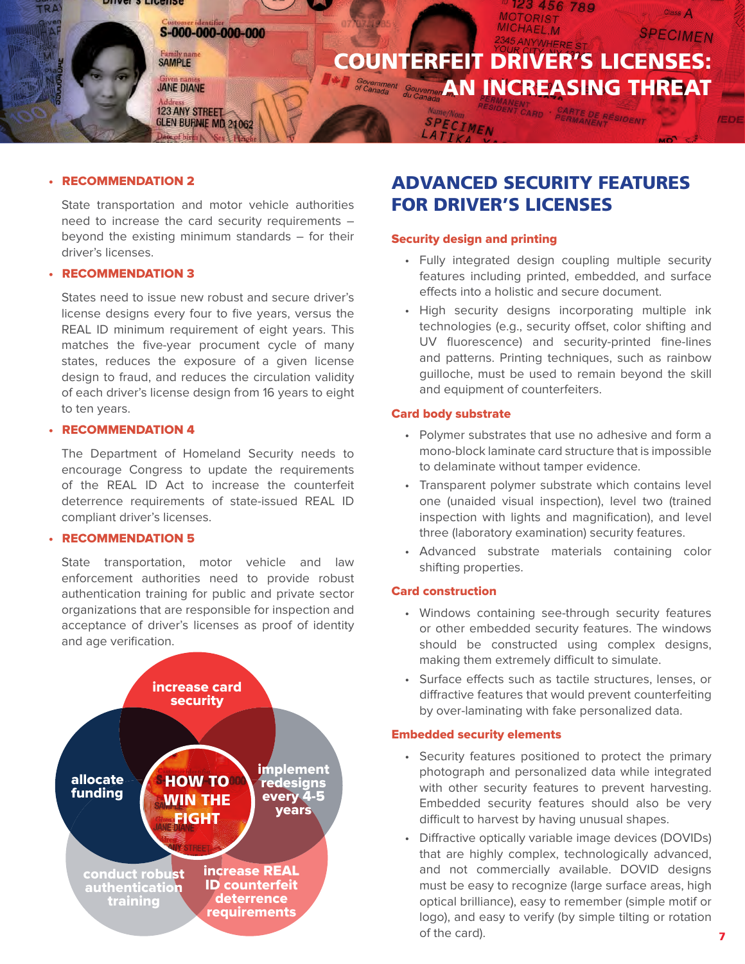<span id="page-6-0"></span>

#### • RECOMMENDATION 2

State transportation and motor vehicle authorities need to increase the card security requirements – beyond the existing minimum standards – for their driver's licenses.

#### • RECOMMENDATION 3

States need to issue new robust and secure driver's license designs every four to five years, versus the REAL ID minimum requirement of eight years. This matches the five-year procument cycle of many states, reduces the exposure of a given license design to fraud, and reduces the circulation validity of each driver's license design from 16 years to eight to ten years.

#### • RECOMMENDATION 4

The Department of Homeland Security needs to encourage Congress to update the requirements of the REAL ID Act to increase the counterfeit deterrence requirements of state-issued REAL ID compliant driver's licenses.

#### • RECOMMENDATION 5

State transportation, motor vehicle and law enforcement authorities need to provide robust authentication training for public and private sector organizations that are responsible for inspection and acceptance of driver's licenses as proof of identity and age verification.



## ADVANCED SECURITY FEATURES FOR DRIVER'S LICENSES

#### Security design and printing

- Fully integrated design coupling multiple security features including printed, embedded, and surface effects into a holistic and secure document.
- High security designs incorporating multiple ink technologies (e.g., security offset, color shifting and UV fluorescence) and security-printed fine-lines and patterns. Printing techniques, such as rainbow guilloche, must be used to remain beyond the skill and equipment of counterfeiters.

#### Card body substrate

- Polymer substrates that use no adhesive and form a mono-block laminate card structure that is impossible to delaminate without tamper evidence.
- Transparent polymer substrate which contains level one (unaided visual inspection), level two (trained inspection with lights and magnification), and level three (laboratory examination) security features.
- Advanced substrate materials containing color shifting properties.

#### Card construction

- Windows containing see-through security features or other embedded security features. The windows should be constructed using complex designs, making them extremely difficult to simulate.
- Surface effects such as tactile structures, lenses, or diffractive features that would prevent counterfeiting by over-laminating with fake personalized data.

#### Embedded security elements

- Security features positioned to protect the primary photograph and personalized data while integrated with other security features to prevent harvesting. Embedded security features should also be very difficult to harvest by having unusual shapes.
- Diffractive optically variable image devices (DOVIDs) that are highly complex, technologically advanced, and not commercially available. DOVID designs must be easy to recognize (large surface areas, high optical brilliance), easy to remember (simple motif or logo), and easy to verify (by simple tilting or rotation of the card).